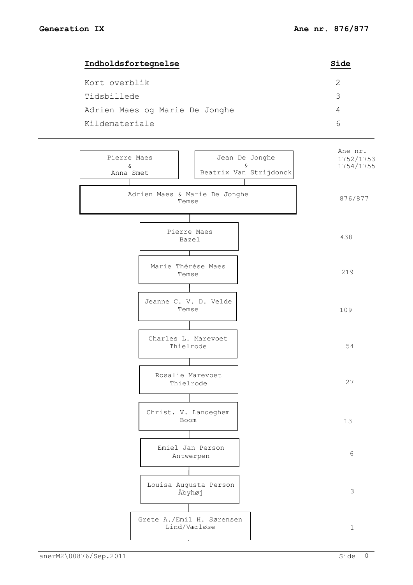| Indholdsfortegnelse            | Side |
|--------------------------------|------|
| Kort overblik                  |      |
| Tidsbillede                    | ੨    |
| Adrien Maes og Marie De Jonghe | 4    |
| Kildemateriale                 |      |
|                                |      |

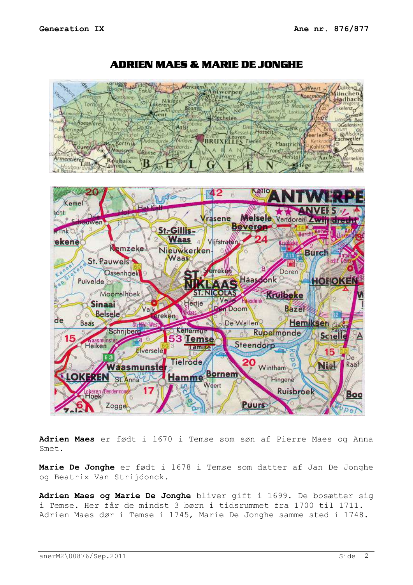

ADRIEN MAES & MARIE DE JONGHE

**Adrien Maes** er født i 1670 i Temse som søn af Pierre Maes og Anna Smet.

**Marie De Jonghe** er født i 1678 i Temse som datter af Jan De Jonghe og Beatrix Van Strijdonck.

**Adrien Maes og Marie De Jonghe** bliver gift i 1699. De bosætter sig i Temse. Her får de mindst 3 børn i tidsrummet fra 1700 til 1711. Adrien Maes dør i Temse i 1745, Marie De Jonghe samme sted i 1748.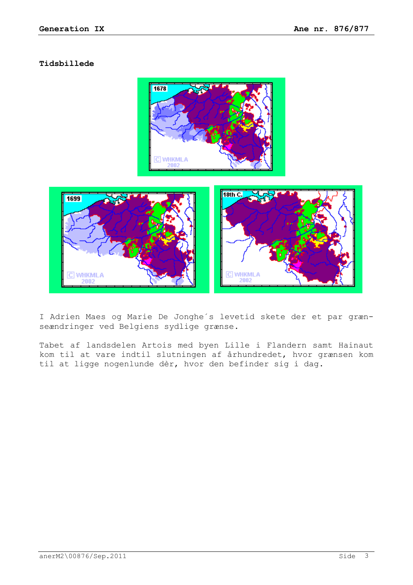## **Tidsbillede**



I Adrien Maes og Marie De Jonghe´s levetid skete der et par grænseændringer ved Belgiens sydlige grænse.

Tabet af landsdelen Artois med byen Lille i Flandern samt Hainaut kom til at vare indtil slutningen af århundredet, hvor grænsen kom til at ligge nogenlunde dèr, hvor den befinder sig i dag.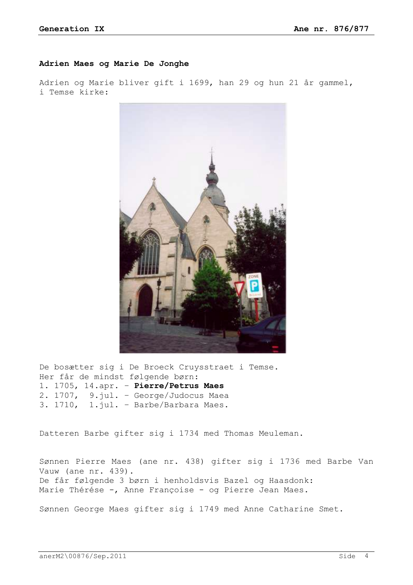## **Adrien Maes og Marie De Jonghe**

Adrien og Marie bliver gift i 1699, han 29 og hun 21 år gammel, i Temse kirke:



De bosætter sig i De Broeck Cruysstraet i Temse. Her får de mindst følgende børn: 1. 1705, 14.apr. – **Pierre/Petrus Maes** 2. 1707, 9.jul. – George/Judocus Maea 3. 1710, 1.jul. – Barbe/Barbara Maes.

Datteren Barbe gifter sig i 1734 med Thomas Meuleman.

Sønnen Pierre Maes (ane nr. 438) gifter sig i 1736 med Barbe Van Vauw (ane nr. 439). De får følgende 3 børn i henholdsvis Bazel og Haasdonk: Marie Thérése -, Anne Françoise - og Pierre Jean Maes.

Sønnen George Maes gifter sig i 1749 med Anne Catharine Smet.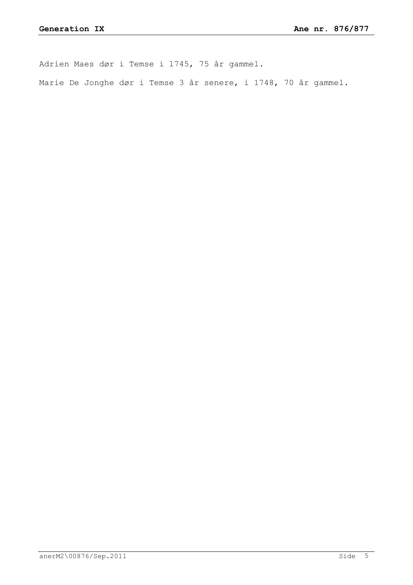Adrien Maes dør i Temse i 1745, 75 år gammel.

Marie De Jonghe dør i Temse 3 år senere, i 1748, 70 år gammel.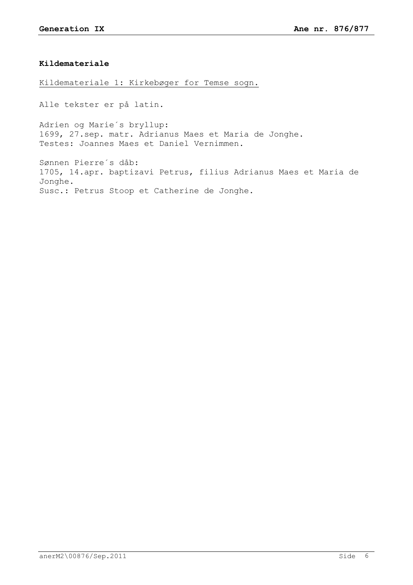## **Kildemateriale**

Kildemateriale 1: Kirkebøger for Temse sogn.

Alle tekster er på latin.

Adrien og Marie´s bryllup: 1699, 27.sep. matr. Adrianus Maes et Maria de Jonghe. Testes: Joannes Maes et Daniel Vernimmen.

Sønnen Pierre´s dåb: 1705, 14.apr. baptizavi Petrus, filius Adrianus Maes et Maria de Jonghe. Susc.: Petrus Stoop et Catherine de Jonghe.